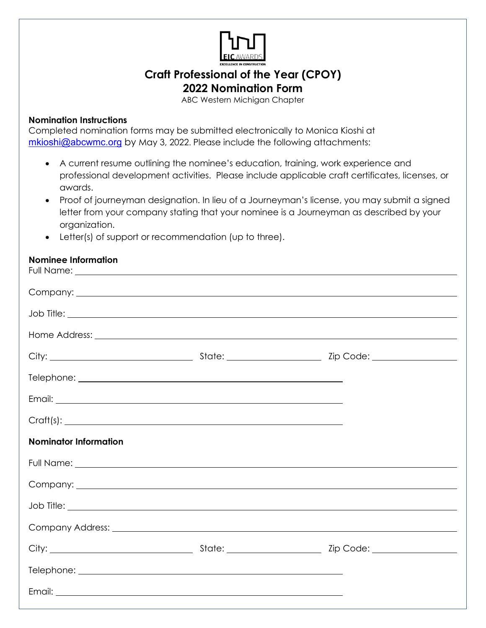

# **Craft Professional of the Year (CPOY) 2022 Nomination Form**

ABC Western Michigan Chapter

#### **Nomination Instructions**

Completed nomination forms may be submitted electronically to Monica Kioshi at [mkioshi@abcwmc.org](mailto:mkioshi@abcwmc.org) by May 3, 2022. Please include the following attachments:

- A current resume outlining the nominee's education, training, work experience and professional development activities. Please include applicable craft certificates, licenses, or awards.
- Proof of journeyman designation. In lieu of a Journeyman's license, you may submit a signed letter from your company stating that your nominee is a Journeyman as described by your organization.
- Letter(s) of support or recommendation (up to three).

# Full Name: Company: Job Title: Home Address: \_ contained a series of the series of the series of the series of the series of the series of the series of the series of the series of the series of the series of the series of the series of the series of th City: State: Zip Code: Telephone: when the contract of the contract of the contract of the contract of the contract of the contract of the contract of the contract of the contract of the contract of the contract of the contract of the contract o Email: Craft(s): **Nominator Information** Full Name: Company: Job Title: Company Address: City: State: Zip Code: Telephone: Email:

#### **Nominee Information**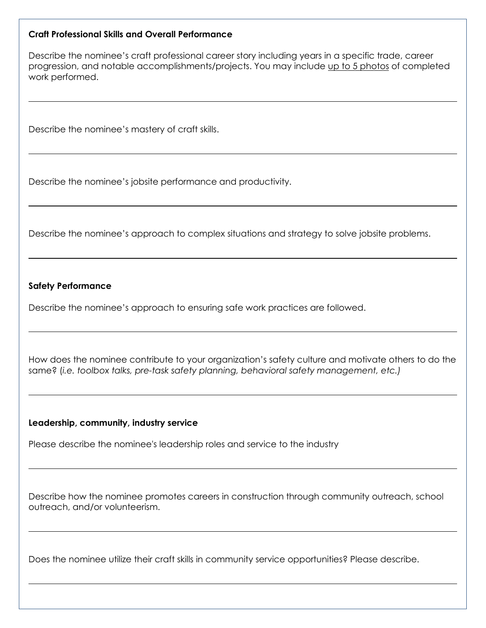### **Craft Professional Skills and Overall Performance**

Describe the nominee's craft professional career story including years in a specific trade, career progression, and notable accomplishments/projects. You may include up to 5 photos of completed work performed.

Describe the nominee's mastery of craft skills.

Describe the nominee's jobsite performance and productivity.

Describe the nominee's approach to complex situations and strategy to solve jobsite problems.

## **Safety Performance**

Describe the nominee's approach to ensuring safe work practices are followed.

How does the nominee contribute to your organization's safety culture and motivate others to do the same? (*i.e. toolbox talks, pre-task safety planning, behavioral safety management, etc.)*

#### **Leadership, community, industry service**

Please describe the nominee's leadership roles and service to the industry

Describe how the nominee promotes careers in construction through community outreach, school outreach, and/or volunteerism.

Does the nominee utilize their craft skills in community service opportunities? Please describe.